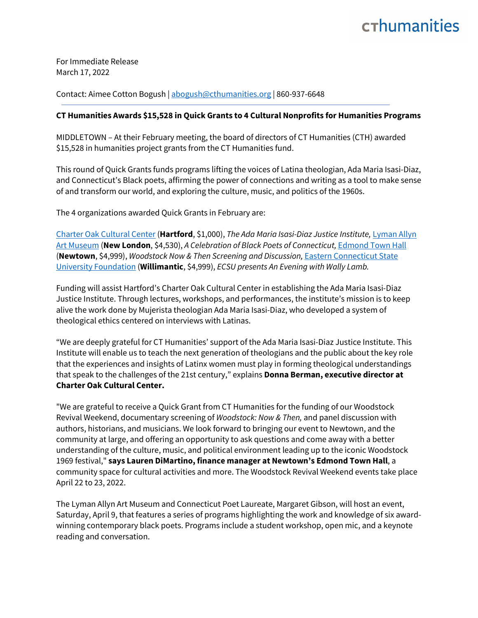## crhumanities

For Immediate Release March 17, 2022

Contact: Aimee Cotton Bogush [| abogush@cthumanities.org](mailto:abogush@cthumanities.org) | 860-937-6648

## **CT Humanities Awards \$15,528 in Quick Grants to 4 Cultural Nonprofits for Humanities Programs**

MIDDLETOWN – At their February meeting, the board of directors of CT Humanities (CTH) awarded \$15,528 in humanities project grants from the CT Humanities fund.

This round of Quick Grants funds programs lifting the voices of Latina theologian, Ada Maria Isasi-Diaz, and Connecticut's Black poets, affirming the power of connections and writing as a tool to make sense of and transform our world, and exploring the culture, music, and politics of the 1960s.

The 4 organizations awarded Quick Grants in February are:

[Charter Oak Cultural Center](https://charteroakcenter.org/) (**Hartford**, \$1,000), *The Ada Maria Isasi-Diaz Justice Institute,* [Lyman Allyn](https://www.lymanallyn.org/)  [Art Museum](https://www.lymanallyn.org/) (**New London**, \$4,530), *A Celebration of Black Poets of Connecticut,* [Edmond Town Hall](https://www.edmondtownhall.org/) (**Newtown**, \$4,999), *Woodstock Now & Then Screening and Discussion,* [Eastern Connecticut State](https://www.youtube.com/watch?v=hGnuWilWm0U)  [University Foundation](https://www.youtube.com/watch?v=hGnuWilWm0U) (**Willimantic**, \$4,999), *ECSU presents An Evening with Wally Lamb.*

Funding will assist Hartford's Charter Oak Cultural Center in establishing the Ada Maria Isasi-Diaz Justice Institute. Through lectures, workshops, and performances, the institute's mission is to keep alive the work done by Mujerista theologian Ada Maria Isasi-Diaz, who developed a system of theological ethics centered on interviews with Latinas.

"We are deeply grateful for CT Humanities' support of the Ada Maria Isasi-Diaz Justice Institute. This Institute will enable us to teach the next generation of theologians and the public about the key role that the experiences and insights of Latinx women must play in forming theological understandings that speak to the challenges of the 21st century," explains **Donna Berman, executive director at Charter Oak Cultural Center.**

"We are grateful to receive a Quick Grant from CT Humanities for the funding of our Woodstock Revival Weekend, documentary screening of *Woodstock: Now & Then,* and panel discussion with authors, historians, and musicians. We look forward to bringing our event to Newtown, and the community at large, and offering an opportunity to ask questions and come away with a better understanding of the culture, music, and political environment leading up to the iconic Woodstock 1969 festival," **says Lauren DiMartino, finance manager at Newtown's Edmond Town Hall**, a community space for cultural activities and more. The Woodstock Revival Weekend events take place April 22 to 23, 2022.

The Lyman Allyn Art Museum and Connecticut Poet Laureate, Margaret Gibson, will host an event, Saturday, April 9, that features a series of programs highlighting the work and knowledge of six awardwinning contemporary black poets. Programs include a student workshop, open mic, and a keynote reading and conversation.